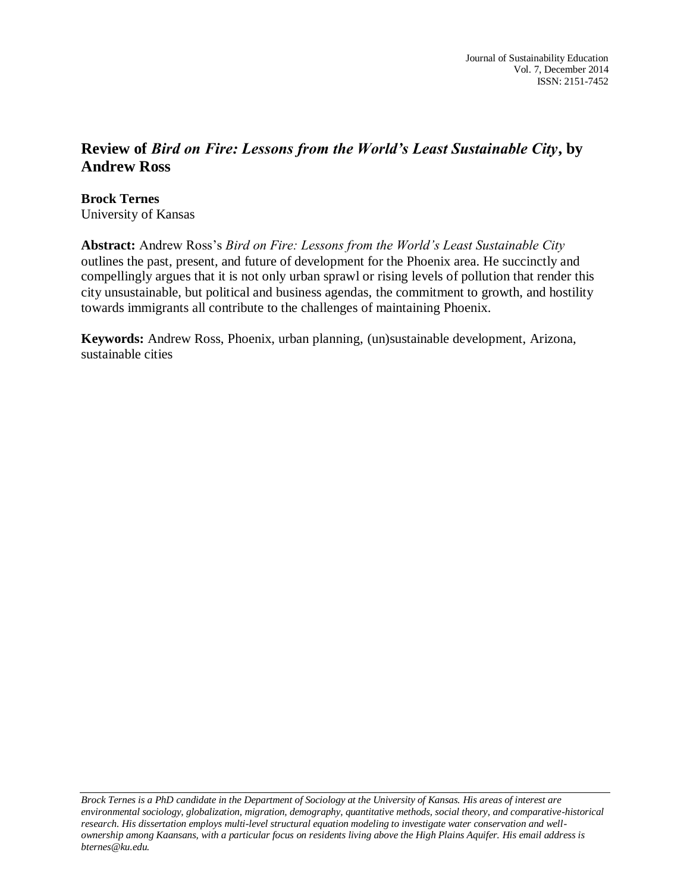## **Review of** *Bird on Fire: Lessons from the World's Least Sustainable City***, by Andrew Ross**

**Brock Ternes** University of Kansas

**Abstract:** Andrew Ross's *Bird on Fire: Lessons from the World's Least Sustainable City* outlines the past, present, and future of development for the Phoenix area. He succinctly and compellingly argues that it is not only urban sprawl or rising levels of pollution that render this city unsustainable, but political and business agendas, the commitment to growth, and hostility towards immigrants all contribute to the challenges of maintaining Phoenix.

**Keywords:** Andrew Ross, Phoenix, urban planning, (un)sustainable development, Arizona, sustainable cities

*Brock Ternes is a PhD candidate in the Department of Sociology at the University of Kansas. His areas of interest are environmental sociology, globalization, migration, demography, quantitative methods, social theory, and comparative-historical research. His dissertation employs multi-level structural equation modeling to investigate water conservation and wellownership among Kaansans, with a particular focus on residents living above the High Plains Aquifer. His email address is bternes@ku.edu.*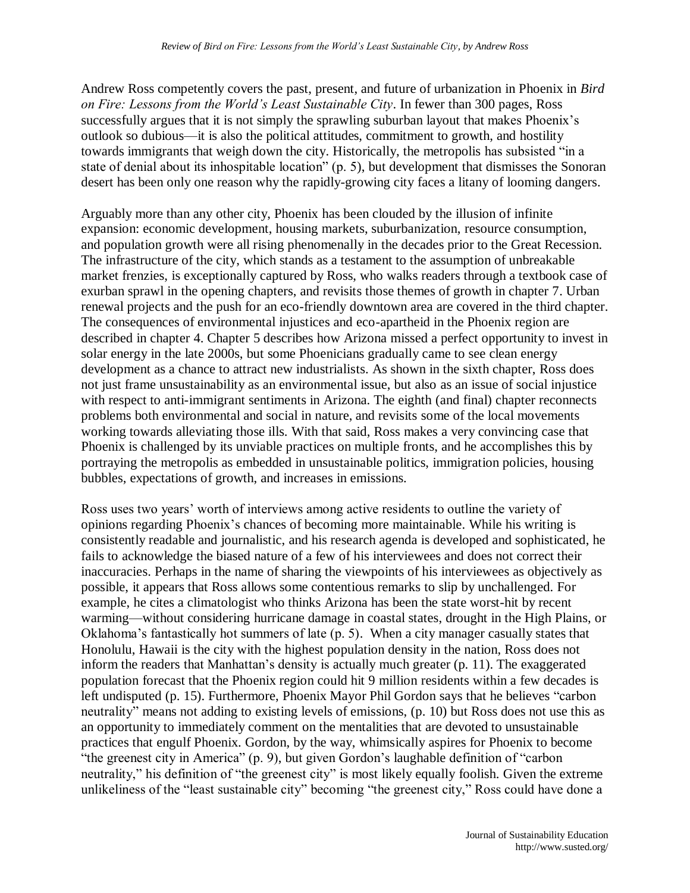Andrew Ross competently covers the past, present, and future of urbanization in Phoenix in *Bird on Fire: Lessons from the World's Least Sustainable City*. In fewer than 300 pages, Ross successfully argues that it is not simply the sprawling suburban layout that makes Phoenix's outlook so dubious—it is also the political attitudes, commitment to growth, and hostility towards immigrants that weigh down the city. Historically, the metropolis has subsisted "in a state of denial about its inhospitable location" (p. 5), but development that dismisses the Sonoran desert has been only one reason why the rapidly-growing city faces a litany of looming dangers.

Arguably more than any other city, Phoenix has been clouded by the illusion of infinite expansion: economic development, housing markets, suburbanization, resource consumption, and population growth were all rising phenomenally in the decades prior to the Great Recession. The infrastructure of the city, which stands as a testament to the assumption of unbreakable market frenzies, is exceptionally captured by Ross, who walks readers through a textbook case of exurban sprawl in the opening chapters, and revisits those themes of growth in chapter 7. Urban renewal projects and the push for an eco-friendly downtown area are covered in the third chapter. The consequences of environmental injustices and eco-apartheid in the Phoenix region are described in chapter 4. Chapter 5 describes how Arizona missed a perfect opportunity to invest in solar energy in the late 2000s, but some Phoenicians gradually came to see clean energy development as a chance to attract new industrialists. As shown in the sixth chapter, Ross does not just frame unsustainability as an environmental issue, but also as an issue of social injustice with respect to anti-immigrant sentiments in Arizona. The eighth (and final) chapter reconnects problems both environmental and social in nature, and revisits some of the local movements working towards alleviating those ills. With that said, Ross makes a very convincing case that Phoenix is challenged by its unviable practices on multiple fronts, and he accomplishes this by portraying the metropolis as embedded in unsustainable politics, immigration policies, housing bubbles, expectations of growth, and increases in emissions.

Ross uses two years' worth of interviews among active residents to outline the variety of opinions regarding Phoenix's chances of becoming more maintainable. While his writing is consistently readable and journalistic, and his research agenda is developed and sophisticated, he fails to acknowledge the biased nature of a few of his interviewees and does not correct their inaccuracies. Perhaps in the name of sharing the viewpoints of his interviewees as objectively as possible, it appears that Ross allows some contentious remarks to slip by unchallenged. For example, he cites a climatologist who thinks Arizona has been the state worst-hit by recent warming—without considering hurricane damage in coastal states, drought in the High Plains, or Oklahoma's fantastically hot summers of late (p. 5). When a city manager casually states that Honolulu, Hawaii is the city with the highest population density in the nation, Ross does not inform the readers that Manhattan's density is actually much greater (p. 11). The exaggerated population forecast that the Phoenix region could hit 9 million residents within a few decades is left undisputed (p. 15). Furthermore, Phoenix Mayor Phil Gordon says that he believes "carbon neutrality" means not adding to existing levels of emissions, (p. 10) but Ross does not use this as an opportunity to immediately comment on the mentalities that are devoted to unsustainable practices that engulf Phoenix. Gordon, by the way, whimsically aspires for Phoenix to become "the greenest city in America" (p. 9), but given Gordon's laughable definition of "carbon neutrality," his definition of "the greenest city" is most likely equally foolish. Given the extreme unlikeliness of the "least sustainable city" becoming "the greenest city," Ross could have done a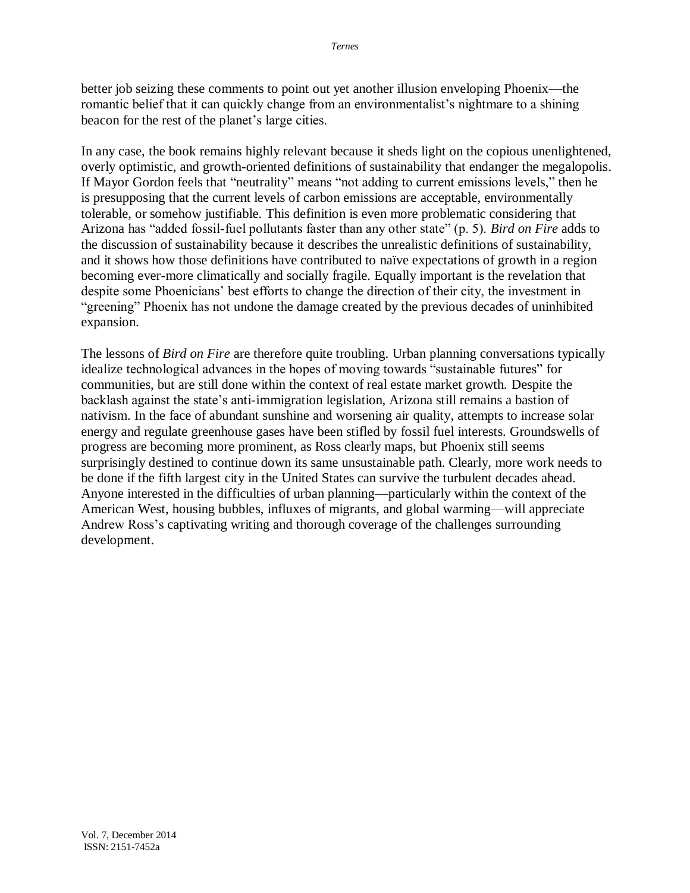better job seizing these comments to point out yet another illusion enveloping Phoenix—the romantic belief that it can quickly change from an environmentalist's nightmare to a shining beacon for the rest of the planet's large cities.

In any case, the book remains highly relevant because it sheds light on the copious unenlightened, overly optimistic, and growth-oriented definitions of sustainability that endanger the megalopolis. If Mayor Gordon feels that "neutrality" means "not adding to current emissions levels," then he is presupposing that the current levels of carbon emissions are acceptable, environmentally tolerable, or somehow justifiable. This definition is even more problematic considering that Arizona has "added fossil-fuel pollutants faster than any other state" (p. 5). *Bird on Fire* adds to the discussion of sustainability because it describes the unrealistic definitions of sustainability, and it shows how those definitions have contributed to naïve expectations of growth in a region becoming ever-more climatically and socially fragile. Equally important is the revelation that despite some Phoenicians' best efforts to change the direction of their city, the investment in "greening" Phoenix has not undone the damage created by the previous decades of uninhibited expansion.

The lessons of *Bird on Fire* are therefore quite troubling. Urban planning conversations typically idealize technological advances in the hopes of moving towards "sustainable futures" for communities, but are still done within the context of real estate market growth. Despite the backlash against the state's anti-immigration legislation, Arizona still remains a bastion of nativism. In the face of abundant sunshine and worsening air quality, attempts to increase solar energy and regulate greenhouse gases have been stifled by fossil fuel interests. Groundswells of progress are becoming more prominent, as Ross clearly maps, but Phoenix still seems surprisingly destined to continue down its same unsustainable path. Clearly, more work needs to be done if the fifth largest city in the United States can survive the turbulent decades ahead. Anyone interested in the difficulties of urban planning—particularly within the context of the American West, housing bubbles, influxes of migrants, and global warming—will appreciate Andrew Ross's captivating writing and thorough coverage of the challenges surrounding development.